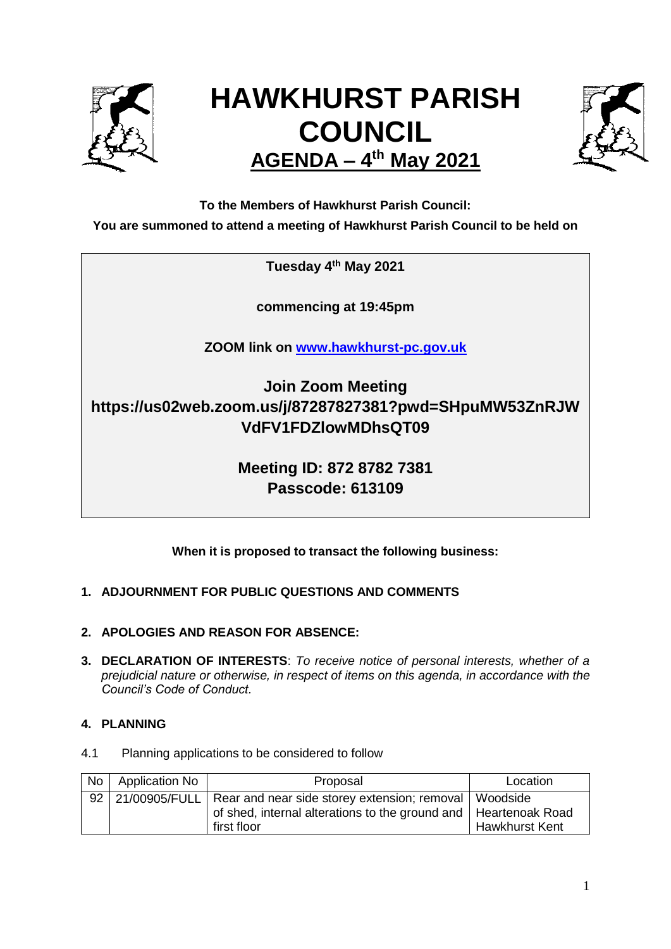

# **HAWKHURST PARISH COUNCIL AGENDA – 4 th May 2021**



**To the Members of Hawkhurst Parish Council:**

**You are summoned to attend a meeting of Hawkhurst Parish Council to be held on**

**Tuesday 4th May 2021**

**commencing at 19:45pm**

**ZOOM link on [www.hawkhurst-pc.gov.uk](http://www.hawkhurst-pc.gov.uk/)**

**Join Zoom Meeting https://us02web.zoom.us/j/87287827381?pwd=SHpuMW53ZnRJW VdFV1FDZlowMDhsQT09**

> **Meeting ID: 872 8782 7381 Passcode: 613109**

**When it is proposed to transact the following business:**

# **1. ADJOURNMENT FOR PUBLIC QUESTIONS AND COMMENTS**

- **2. APOLOGIES AND REASON FOR ABSENCE:**
- **3. DECLARATION OF INTERESTS**: *To receive notice of personal interests, whether of a prejudicial nature or otherwise, in respect of items on this agenda, in accordance with the Council's Code of Conduct.*

# **4. PLANNING**

4.1 Planning applications to be considered to follow

| No <sub>1</sub> | Application No | Proposal                                                                                                                                                         | Location              |
|-----------------|----------------|------------------------------------------------------------------------------------------------------------------------------------------------------------------|-----------------------|
|                 |                | 92   21/00905/FULL   Rear and near side storey extension; removal   Woodside<br>of shed, internal alterations to the ground and   Heartenoak Road<br>first floor | <b>Hawkhurst Kent</b> |